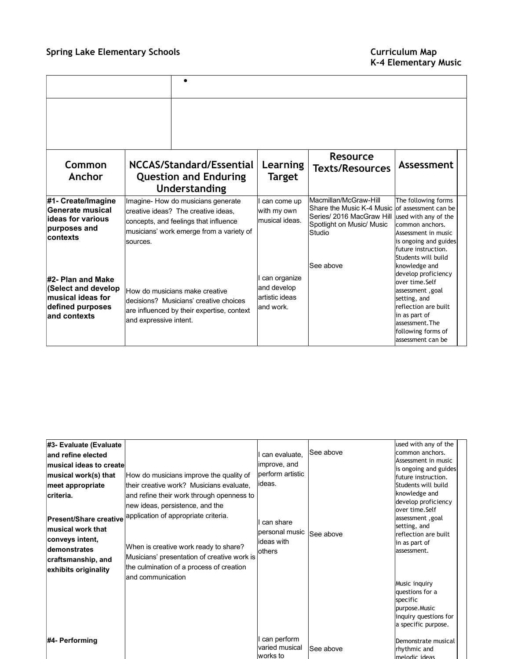| Common<br>Anchor                                                                                   | NCCAS/Standard/Essential<br><b>Question and Enduring</b><br>Understanding                                                                                                  | Learning<br><b>Target</b>                                  | <b>Resource</b><br><b>Texts/Resources</b>                                                                              | Assessment                                                                                                                                                                                        |
|----------------------------------------------------------------------------------------------------|----------------------------------------------------------------------------------------------------------------------------------------------------------------------------|------------------------------------------------------------|------------------------------------------------------------------------------------------------------------------------|---------------------------------------------------------------------------------------------------------------------------------------------------------------------------------------------------|
| #1- Create/Imagine<br>Generate musical<br>lideas for various<br>purposes and<br>contexts           | Imagine- How do musicians generate<br>creative ideas? The creative ideas.<br>concepts, and feelings that influence<br>musicians' work emerge from a variety of<br>sources. | can come up<br>with my own<br>musical ideas.               | Macmillan/McGraw-Hill<br>Share the Music K-4 Music<br>Series/ 2016 MacGraw Hill<br>Spotlight on Music/ Music<br>Studio | The following forms<br>of assessment can be<br>used with any of the<br>common anchors.<br>Assessment in music<br>is ongoing and guides<br>future instruction.<br>Students will build              |
| #2- Plan and Make<br>(Select and develop<br>musical ideas for<br>defined purposes<br>land contexts | How do musicians make creative<br>Idecisions? Musicians' creative choices<br>are influenced by their expertise, context<br>and expressive intent.                          | can organize<br>and develop<br>artistic ideas<br>and work. | See above                                                                                                              | knowledge and<br>develop proficiency<br>over time.Self<br>assessment, goal<br>setting, and<br>reflection are built<br>in as part of<br>assessment. The<br>following forms of<br>assessment can be |

| #3- Evaluate (Evaluate                                                                                                                                                                               |                                                                                                                                                                                                                                                                                                                                                                      |                                                                                      |           | used with any of the                                                                                                                                                                                                                                                                                                |  |
|------------------------------------------------------------------------------------------------------------------------------------------------------------------------------------------------------|----------------------------------------------------------------------------------------------------------------------------------------------------------------------------------------------------------------------------------------------------------------------------------------------------------------------------------------------------------------------|--------------------------------------------------------------------------------------|-----------|---------------------------------------------------------------------------------------------------------------------------------------------------------------------------------------------------------------------------------------------------------------------------------------------------------------------|--|
| and refine elected                                                                                                                                                                                   |                                                                                                                                                                                                                                                                                                                                                                      | can evaluate,                                                                        | See above | common anchors.                                                                                                                                                                                                                                                                                                     |  |
| lmusical ideas to createl                                                                                                                                                                            |                                                                                                                                                                                                                                                                                                                                                                      | improve, and                                                                         |           | Assessment in music                                                                                                                                                                                                                                                                                                 |  |
| musical work(s) that<br>meet appropriate<br>criteria.<br><b>Present/Share creative</b><br>Imusical work that<br>conveys intent,<br><b>demonstrates</b><br>craftsmanship, and<br>exhibits originality | How do musicians improve the quality of<br>their creative work? Musicians evaluate.<br>and refine their work through openness to<br>new ideas, persistence, and the<br>application of appropriate criteria.<br>When is creative work ready to share?<br>Musicians' presentation of creative work is<br>the culmination of a process of creation<br>and communication | perform artistic<br>lideas.<br>can share<br>personal music<br>lideas with<br>lothers | See above | is ongoing and guides<br>future instruction.<br>Students will build<br>knowledge and<br>develop proficiency<br>over time.Self<br>assessment, goal<br>setting, and<br>reflection are built<br>in as part of<br>assessment.<br>Music inquiry<br>questions for a<br>specific<br>purpose.Music<br>inquiry questions for |  |
| #4- Performing                                                                                                                                                                                       |                                                                                                                                                                                                                                                                                                                                                                      | can perform<br>varied musical<br>works to                                            | See above | a specific purpose.<br>Demonstrate musical<br>rhythmic and<br>melodic ideas                                                                                                                                                                                                                                         |  |

÷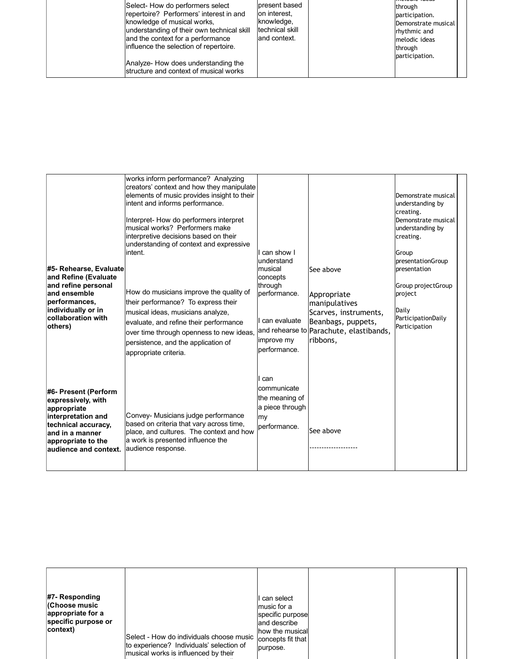|--|

| #5- Rehearse, Evaluate<br>and Refine (Evaluate<br>and refine personal<br>and ensemble<br>performances,<br>individually or in<br>collaboration with<br>others)              | works inform performance? Analyzing<br>creators' context and how they manipulate<br>elements of music provides insight to their<br>intent and informs performance.<br>Interpret- How do performers interpret<br>musical works? Performers make<br>interpretive decisions based on their<br>understanding of context and expressive<br>lintent.<br>How do musicians improve the quality of<br>their performance? To express their<br>musical ideas, musicians analyze,<br>evaluate, and refine their performance<br>over time through openness to new ideas,<br>persistence, and the application of<br>appropriate criteria. | can show I<br>understand<br>musical<br>concepts<br>through<br>performance.<br>can evaluate<br>improve my<br>performance. | See above<br>Appropriate<br>manipulatives<br>Scarves, instruments,<br>Beanbags, puppets,<br>and rehearse to Parachute, elastibands,<br>Iribbons. | Demonstrate musical<br>understanding by<br>creating.<br>Demonstrate musical<br>understanding by<br>creating.<br>Group<br>presentationGroup<br>presentation<br>Group projectGroup<br>project<br>Daily<br>ParticipationDaily<br>Participation |
|----------------------------------------------------------------------------------------------------------------------------------------------------------------------------|-----------------------------------------------------------------------------------------------------------------------------------------------------------------------------------------------------------------------------------------------------------------------------------------------------------------------------------------------------------------------------------------------------------------------------------------------------------------------------------------------------------------------------------------------------------------------------------------------------------------------------|--------------------------------------------------------------------------------------------------------------------------|--------------------------------------------------------------------------------------------------------------------------------------------------|---------------------------------------------------------------------------------------------------------------------------------------------------------------------------------------------------------------------------------------------|
| #6- Present (Perform<br>expressively, with<br>appropriate<br>interpretation and<br>technical accuracy,<br>land in a manner<br>appropriate to the<br>laudience and context. | Convey- Musicians judge performance<br>based on criteria that vary across time,<br>place, and cultures. The context and how<br>a work is presented influence the<br>audience response.                                                                                                                                                                                                                                                                                                                                                                                                                                      | can<br>communicate<br>the meaning of<br>a piece through<br>my<br>performance.                                            | See above                                                                                                                                        |                                                                                                                                                                                                                                             |

| #7- Responding<br>(Choose music<br>appropriate for a<br>specific purpose or<br>context) | Select - How do individuals choose music<br>to experience? Individuals' selection of | Il can select<br>music for a<br>specific purpose<br>land describe<br>how the musical<br>concepts fit that<br>purpose. |  |
|-----------------------------------------------------------------------------------------|--------------------------------------------------------------------------------------|-----------------------------------------------------------------------------------------------------------------------|--|
|                                                                                         | musical works is influenced by their                                                 |                                                                                                                       |  |

interests, experiences, understandings,